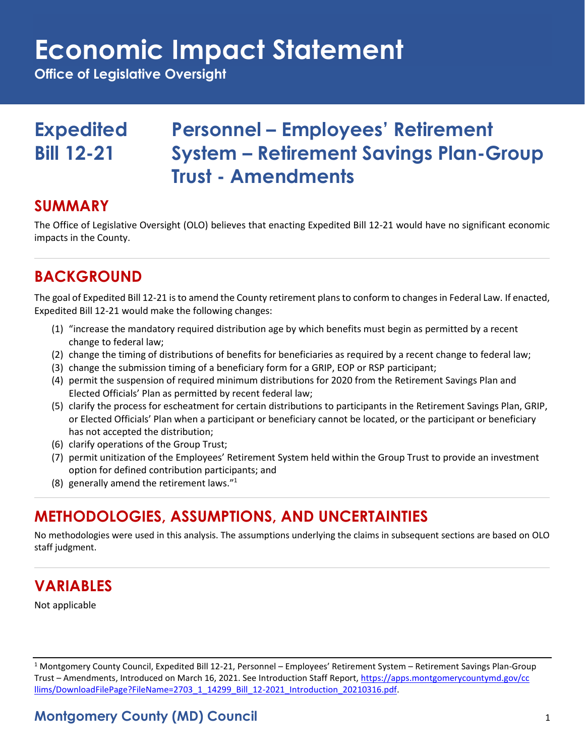## **Economic Impact Statement**

**Office of Legislative Oversight**

### **Expedited Personnel – Employees' Retirement Bill 12-21 System – Retirement Savings Plan-Group Trust - Amendments**

### **SUMMARY**

The Office of Legislative Oversight (OLO) believes that enacting Expedited Bill 12-21 would have no significant economic impacts in the County.

### **BACKGROUND**

The goal of Expedited Bill 12-21 is to amend the County retirement plans to conform to changes in Federal Law. If enacted, Expedited Bill 12-21 would make the following changes:

- (1) "increase the mandatory required distribution age by which benefits must begin as permitted by a recent change to federal law;
- (2) change the timing of distributions of benefits for beneficiaries as required by a recent change to federal law;
- (3) change the submission timing of a beneficiary form for a GRIP, EOP or RSP participant;
- (4) permit the suspension of required minimum distributions for 2020 from the Retirement Savings Plan and Elected Officials' Plan as permitted by recent federal law;
- (5) clarify the process for escheatment for certain distributions to participants in the Retirement Savings Plan, GRIP, or Elected Officials' Plan when a participant or beneficiary cannot be located, or the participant or beneficiary has not accepted the distribution;
- (6) clarify operations of the Group Trust;
- (7) permit unitization of the Employees' Retirement System held within the Group Trust to provide an investment option for defined contribution participants; and
- (8) generally amend the retirement laws."<sup>1</sup>

### **METHODOLOGIES, ASSUMPTIONS, AND UNCERTAINTIES**

No methodologies were used in this analysis. The assumptions underlying the claims in subsequent sections are based on OLO staff judgment.

### **VARIABLES**

Not applicable

 $1$  Montgomery County Council, Expedited Bill 12-21, Personnel – Employees' Retirement System – Retirement Savings Plan-Group Trust – Amendments, Introduced on March 16, 2021. See Introduction Staff Report, [https://apps.montgomerycountymd.gov/cc](https://apps.montgomerycountymd.gov/ccllims/DownloadFilePage?FileName=2703_1_14299_Bill_12-2021_Introduction_20210316.pdf) [llims/DownloadFilePage?FileName=2703\\_1\\_14299\\_Bill\\_12-2021\\_Introduction\\_20210316.pdf.](https://apps.montgomerycountymd.gov/ccllims/DownloadFilePage?FileName=2703_1_14299_Bill_12-2021_Introduction_20210316.pdf)

### **Montgomery County (MD) Council** 1